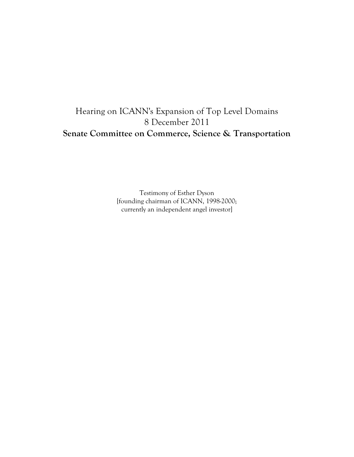# Hearing on ICANN's Expansion of Top Level Domains 8 December 2011 **Senate Committee on Commerce, Science & Transportation**

Testimony of Esther Dyson [founding chairman of ICANN, 1998-2000; currently an independent angel investor]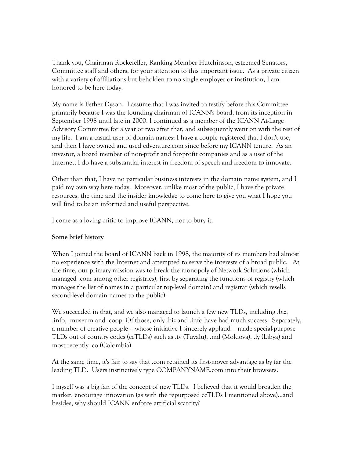Thank you, Chairman Rockefeller, Ranking Member Hutchinson, esteemed Senators, Committee staff and others, for your attention to this important issue. As a private citizen with a variety of affiliations but beholden to no single employer or institution, I am honored to be here today.

My name is Esther Dyson. I assume that I was invited to testify before this Committee primarily because I was the founding chairman of ICANN's board, from its inception in September 1998 until late in 2000. I continued as a member of the ICANN At-Large Advisory Committee for a year or two after that, and subsequently went on with the rest of my life. I am a casual user of domain names; I have a couple registered that I don't use, and then I have owned and used edventure.com since before my ICANN tenure. As an investor, a board member of non-profit and for-profit companies and as a user of the Internet, I do have a substantial interest in freedom of speech and freedom to innovate.

Other than that, I have no particular business interests in the domain name system, and I paid my own way here today. Moreover, unlike most of the public, I have the private resources, the time and the insider knowledge to come here to give you what I hope you will find to be an informed and useful perspective.

I come as a loving critic to improve ICANN, not to bury it.

#### **Some brief history**

When I joined the board of ICANN back in 1998, the majority of its members had almost no experience with the Internet and attempted to serve the interests of a broad public. At the time, our primary mission was to break the monopoly of Network Solutions (which managed .com among other registries), first by separating the functions of registry (which manages the list of names in a particular top-level domain) and registrar (which resells second-level domain names to the public).

We succeeded in that, and we also managed to launch a few new TLDs, including .biz, .info, .museum and .coop. Of those, only .biz and .info have had much success. Separately, a number of creative people – whose initiative I sincerely applaud – made special-purpose TLDs out of country codes (ccTLDs) such as .tv (Tuvalu), .md (Moldova), .ly (Libya) and most recently .co (Colombia).

At the same time, it's fair to say that .com retained its first-mover advantage as by far the leading TLD. Users instinctively type COMPANYNAME.com into their browsers.

I myself was a big fan of the concept of new TLDs. I believed that it would broaden the market, encourage innovation (as with the repurposed ccTLDs I mentioned above)...and besides, why should ICANN enforce artificial scarcity?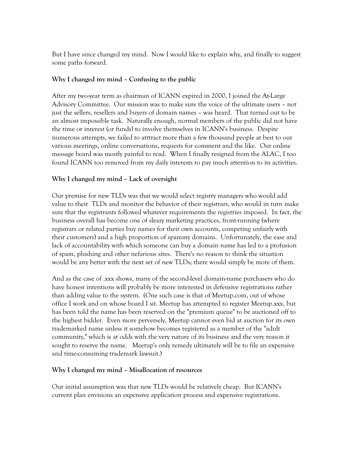But I have since changed my mind. Now I would like to explain why, and finally to suggest some paths forward.

## **Why I changed my mind – Confusing to the public**

After my two-year term as chairman of ICANN expired in 2000, I joined the At-Large Advisory Committee. Our mission was to make sure the voice of the ultimate users – not just the sellers, resellers and buyers of domain names – was heard. That turned out to be an almost impossible task. Naturally enough, normal members of the public did not have the time or interest (or funds) to involve themselves in ICANN's business. Despite numerous attempts, we failed to atttract more than a few thousand people at best to our various meetings, online conversations, requests for comment and the like. Our online message board was mostly painful to read. When I finally resigned from the ALAC, I too found ICANN too removed from my daily interests to pay much attention to its activities.

# **Why I changed my mind – Lack of oversight**

Our premise for new TLDs was that we would select registry managers who would add value to their TLDs and monitor the behavior of their registrars, who would in turn make sure that the registrants followed whatever requirements the registries imposed. In fact, the business overall has become one of sleazy marketing practices, front-running (where registrars or related parties buy names for their own accounts, competing unfairly with their customers) and a high proportion of spammy domains. Unfortunately, the ease and lack of accountability with which someone can buy a domain name has led to a profusion of spam, phishing and other nefarious sites. There's no reason to think the situation would be any better with the next set of new TLDs; there would simply be more of them.

And as the case of .xxx shows, many of the second-level domain-name purchasers who do have honest intentions will probably be more interested in defensive registrations rather than adding value to the system. (One such case is that of Meetup.com, out of whose office I work and on whose board I sit. Meetup has attempted to register Meetup.xxx, but has been told the name has been reserved on the "premium queue" to be auctioned off to the highest bidder. Even more perversely, Meetup cannot even bid at auction for its own trademarked name unless it somehow becomes registered as a member of the "adult community," which is at odds with the very nature of its business and the very reason it sought to reserve the name. Meetup's only remedy ultimately will be to file an expensive and time-consuming trademark lawsuit.)

## **Why I changed my mind – Misallocation of resources**

Our initial assumption was that new TLDs would be relatively cheap. But ICANN's current plan envisions an expensive application process and expensive registrations.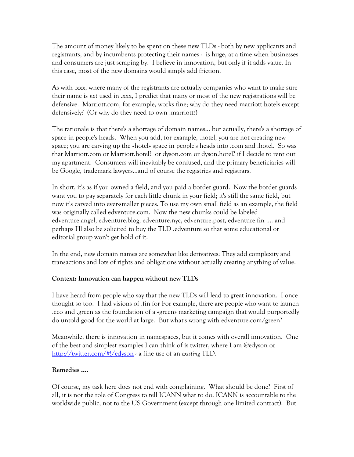The amount of money likely to be spent on these new TLDs - both by new applicants and registrants, and by incumbents protecting their names - is huge, at a time when businesses and consumers are just scraping by. I believe in innovation, but only if it adds value. In this case, most of the new domains would simply add friction.

As with .xxx, where many of the registrants are actually companies who want to make sure their name is *not* used in .xxx, I predict that many or most of the new registrations will be defensive. Marriott.com, for example, works fine; why do they need marriott.hotels except defensively? (Or why do they need to own .marriott?)

The rationale is that there's a shortage of domain names... but actually, there's a shortage of space in people's heads. When you add, for example, .hotel, you are not creating new space; you are carving up the «hotel» space in people's heads into .com and .hotel. So was that Marriott.com or Marriott.hotel? or dyson.com or dyson.hotel? if I decide to rent out my apartment. Consumers will inevitably be confused, and the primary beneficiaries will be Google, trademark lawyers...and of course the registries and registrars.

In short, it's as if you owned a field, and you paid a border guard. Now the border guards want you to pay separately for each little chunk in your field; it's still the same field, but now it's carved into ever-smaller pieces. To use my own small field as an example, the field was originally called edventure.com. Now the new chunks could be labeled edventure.angel, edventure.blog, edventure.nyc, edventure.post, edventure.fin .... and perhaps I'll also be solicited to buy the TLD .edventure so that some educational or editorial group won't get hold of it.

In the end, new domain names are somewhat like derivatives: They add complexity and transactions and lots of rights and obligations without actually creating anything of value.

## **Context: Innovation can happen without new TLDs**

I have heard from people who say that the new TLDs will lead to great innovation. I once thought so too. I had visions of .fin for For example, there are people who want to launch .eco and .green as the foundation of a «green» marketing campaign that would purportedly do untold good for the world at large. But what's wrong with edventure.com/green?

Meanwhile, there is innovation in namespaces, but it comes with overall innovation. One of the best and simplest examples I can think of is twitter, where I am @edyson or http://twitter.com/#!/edyson - a fine use of an *existing* TLD.

## **Remedies ....**

Of course, my task here does not end with complaining. What should be done? First of all, it is not the role of Congress to tell ICANN what to do. ICANN is accountable to the worldwide public, not to the US Government (except through one limited contract). But